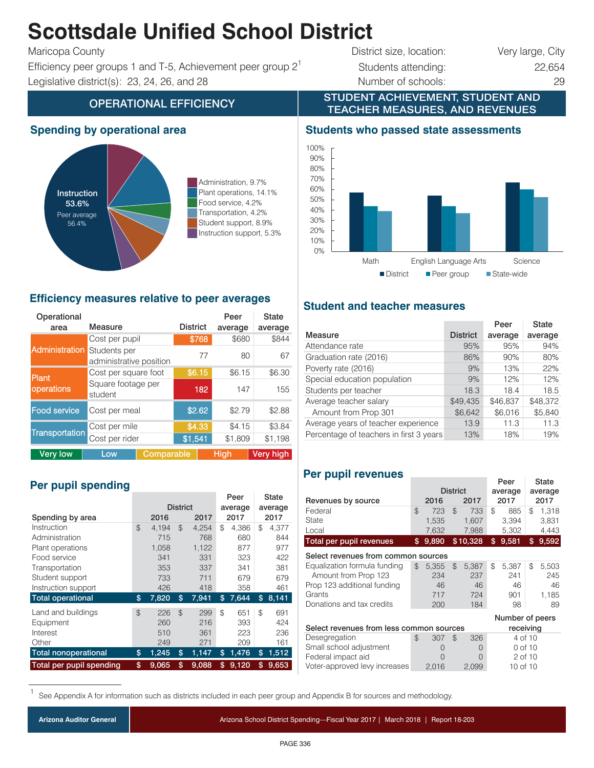## **Scottsdale Unified School District**

Efficiency peer groups 1 and T-5, Achievement peer group  $2^1$  Students attending: 22,654 Legislative district(s): 23, 24, 26, and 28 Number of schools: 29

# Maricopa County **District size, location:** Very large, City

STUDENT ACHIEVEMENT, STUDENT AND

### OPERATIONAL EFFICIENCY **TEACHER MEASURES, AND REVENUES**

#### **Spending by operational area**



Administration, 9.7% Plant operations, 14.1% Food service, 4.2% Transportation, 4.2% Student support, 8.9% Instruction support, 5.3%

#### **Efficiency measures relative to peer averages**

| Operational<br>area   | Measure                                 | <b>District</b> | Peer<br>average | State<br>average |  |  |
|-----------------------|-----------------------------------------|-----------------|-----------------|------------------|--|--|
|                       | Cost per pupil                          | \$768           | \$680           | \$844            |  |  |
| <b>Administration</b> | Students per<br>administrative position | 77              | 80              | 67               |  |  |
| <b>Plant</b>          | Cost per square foot                    | \$6.15          | \$6.15          | \$6.30           |  |  |
| operations            | Square footage per<br>student           | 182             | 147             | 155              |  |  |
| <b>Food service</b>   | Cost per meal                           | \$2.62          | \$2.79          | \$2.88           |  |  |
| Cost per mile         |                                         | \$4.33          | \$4.15          | \$3.84           |  |  |
| Transportation        | Cost per rider                          | \$1,541         | \$1,809         | \$1.198          |  |  |
| <b>Very low</b>       | Comparable<br>Low                       |                 | Hiah            | Very high        |  |  |

#### **Per pupil spending**

|                             |                 |       |             |    | Peer    |    | <b>State</b> |
|-----------------------------|-----------------|-------|-------------|----|---------|----|--------------|
|                             | <b>District</b> |       | average     |    | average |    |              |
| Spending by area            |                 | 2016  | 2017        |    | 2017    |    | 2017         |
| Instruction                 | \$              | 4.194 | \$<br>4.254 | \$ | 4.386   | \$ | 4,377        |
| Administration              |                 | 715   | 768         |    | 680     |    | 844          |
| Plant operations            |                 | 1,058 | 1,122       |    | 877     |    | 977          |
| Food service                |                 | 341   | 331         |    | 323     |    | 422          |
| Transportation              |                 | 353   | 337         |    | 341     |    | 381          |
| Student support             |                 | 733   | 711         |    | 679     |    | 679          |
| Instruction support         |                 | 426   | 418         |    | 358     |    | 461          |
| <b>Total operational</b>    | \$              | 7,820 | \$<br>7,941 | \$ | 7,644   | \$ | 8,141        |
| Land and buildings          | $\mathfrak{P}$  | 226   | \$<br>299   | \$ | 651     | \$ | 691          |
| Equipment                   |                 | 260   | 216         |    | 393     |    | 424          |
| Interest                    |                 | 510   | 361         |    | 223     |    | 236          |
| Other                       |                 | 249   | 271         |    | 209     |    | 161          |
| <b>Total nonoperational</b> | \$              | 1,245 | \$<br>1,147 | \$ | 1,476   | \$ | 1,512        |
| Total per pupil spending    | \$              | 9.065 | \$<br>9.088 | \$ | 9,120   | \$ | 9.653        |

#### **Students who passed state assessments**



#### **Student and teacher measures**

|                                         |                 | Peer     | <b>State</b> |
|-----------------------------------------|-----------------|----------|--------------|
| Measure                                 | <b>District</b> | average  | average      |
| Attendance rate                         | 95%             | 95%      | 94%          |
| Graduation rate (2016)                  | 86%             | 90%      | 80%          |
| Poverty rate (2016)                     | 9%              | 13%      | 22%          |
| Special education population            | 9%              | 12%      | 12%          |
| Students per teacher                    | 18.3            | 18.4     | 18.5         |
| Average teacher salary                  | \$49,435        | \$46.837 | \$48,372     |
| Amount from Prop 301                    | \$6,642         | \$6,016  | \$5,840      |
| Average years of teacher experience     | 13.9            | 11.3     | 11.3         |
| Percentage of teachers in first 3 years | 13%             | 18%      | 19%          |

#### **Per pupil revenues**

|                                                      |    |                  |    |              |           | Peer            |         | State        |
|------------------------------------------------------|----|------------------|----|--------------|-----------|-----------------|---------|--------------|
|                                                      |    | <b>District</b>  |    |              | average   |                 | average |              |
| Revenues by source                                   |    | 2016             |    | 2017         |           | 2017            |         | 2017         |
| Federal                                              | \$ | 723              | \$ | 733          | \$        | 885             | \$      | 1,318        |
| State                                                |    | 1,535            |    | 1,607        |           | 3,394           |         | 3,831        |
| Local                                                |    | 7,632            |    | 7,988        |           | 5,302           |         | 4,443        |
| Total per pupil revenues                             | \$ | 9,890            |    | \$10,328     | \$        | 9,581           | \$      | 9,592        |
| Select revenues from common sources                  |    |                  |    |              |           |                 |         |              |
| Equalization formula funding<br>Amount from Prop 123 | \$ | 5,355<br>234     | \$ | 5,387<br>237 | \$        | 5,387<br>241    | \$      | 5,503<br>245 |
| Prop 123 additional funding                          |    | 46               |    | 46           |           | 46              |         | 46           |
| Grants                                               |    | 717              |    | 724          |           | 901             |         | 1,185        |
| Donations and tax credits                            |    | 200              |    | 184          |           | 98              |         | 89           |
|                                                      |    |                  |    |              |           | Number of peers |         |              |
| Select revenues from less common sources             |    |                  |    |              | receiving |                 |         |              |
| Desegregation                                        | \$ | 307              | \$ | 326          |           | 4 of 10         |         |              |
| Small school adjustment                              |    | $\left( \right)$ |    | $\Omega$     |           | 0 of 10         |         |              |
| Federal impact aid                                   |    | Ω<br>$\Omega$    |    |              | 2 of 10   |                 |         |              |
| Voter-approved levy increases                        |    | 2,016<br>2,099   |    | 10 of 10     |           |                 |         |              |

See Appendix A for information such as districts included in each peer group and Appendix B for sources and methodology.